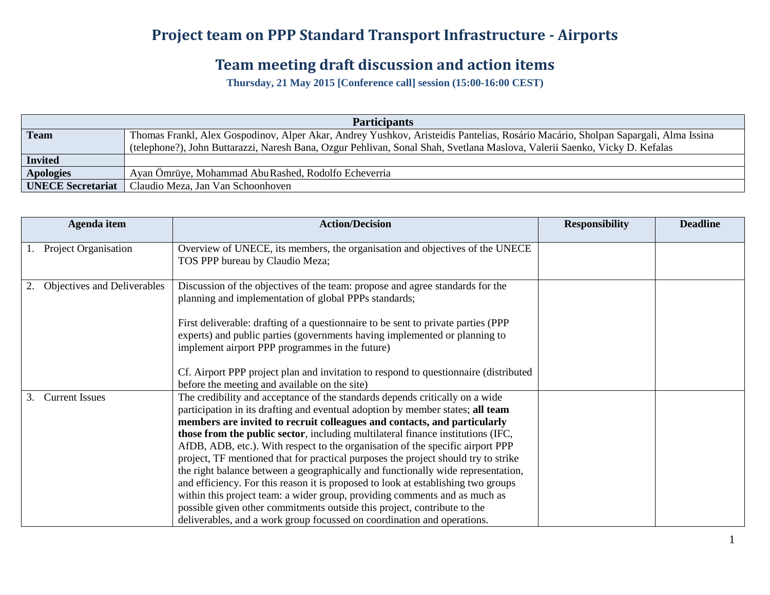## **Project team on PPP Standard Transport Infrastructure - Airports**

## **Team meeting draft discussion and action items**

**Thursday, 21 May 2015 [Conference call] session (15:00-16:00 CEST)**

| <b>Participants</b>      |                                                                                                                                   |  |  |  |  |
|--------------------------|-----------------------------------------------------------------------------------------------------------------------------------|--|--|--|--|
| <b>Team</b>              | Thomas Frankl, Alex Gospodinov, Alper Akar, Andrey Yushkov, Aristeidis Pantelias, Rosário Macário, Sholpan Sapargali, Alma Issina |  |  |  |  |
|                          | (telephone?), John Buttarazzi, Naresh Bana, Ozgur Pehlivan, Sonal Shah, Svetlana Maslova, Valerii Saenko, Vicky D. Kefalas        |  |  |  |  |
| <b>Invited</b>           |                                                                                                                                   |  |  |  |  |
| <b>Apologies</b>         | Ayan Ömrüye, Mohammad Abu Rashed, Rodolfo Echeverria                                                                              |  |  |  |  |
| <b>UNECE Secretariat</b> | Claudio Meza, Jan Van Schoonhoven                                                                                                 |  |  |  |  |

|    | Agenda item                 | <b>Action/Decision</b>                                                                                                                                                                                                                                  | <b>Responsibility</b> | <b>Deadline</b> |
|----|-----------------------------|---------------------------------------------------------------------------------------------------------------------------------------------------------------------------------------------------------------------------------------------------------|-----------------------|-----------------|
|    | Project Organisation        | Overview of UNECE, its members, the organisation and objectives of the UNECE<br>TOS PPP bureau by Claudio Meza;                                                                                                                                         |                       |                 |
|    | Objectives and Deliverables | Discussion of the objectives of the team: propose and agree standards for the<br>planning and implementation of global PPPs standards;                                                                                                                  |                       |                 |
|    |                             | First deliverable: drafting of a questionnaire to be sent to private parties (PPP)<br>experts) and public parties (governments having implemented or planning to<br>implement airport PPP programmes in the future)                                     |                       |                 |
|    |                             | Cf. Airport PPP project plan and invitation to respond to questionnaire (distributed)<br>before the meeting and available on the site)                                                                                                                  |                       |                 |
| 3. | <b>Current Issues</b>       | The credibility and acceptance of the standards depends critically on a wide<br>participation in its drafting and eventual adoption by member states; all team<br>members are invited to recruit colleagues and contacts, and particularly              |                       |                 |
|    |                             | those from the public sector, including multilateral finance institutions (IFC,<br>AfDB, ADB, etc.). With respect to the organisation of the specific airport PPP<br>project, TF mentioned that for practical purposes the project should try to strike |                       |                 |
|    |                             | the right balance between a geographically and functionally wide representation,<br>and efficiency. For this reason it is proposed to look at establishing two groups                                                                                   |                       |                 |
|    |                             | within this project team: a wider group, providing comments and as much as<br>possible given other commitments outside this project, contribute to the<br>deliverables, and a work group focussed on coordination and operations.                       |                       |                 |